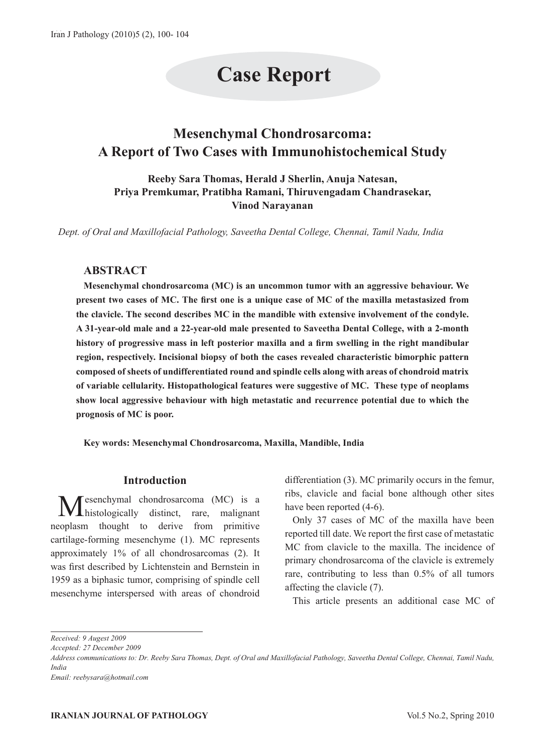# **Case Report**

# **Mesenchymal Chondrosarcoma: A Report of Two Cases with Immunohistochemical Study**

**Reeby Sara Thomas, Herald J Sherlin, Anuja Natesan, Priya Premkumar, Pratibha Ramani, Thiruvengadam Chandrasekar, Vinod Narayanan**

*Dept. of Oral and Maxillofacial Pathology, Saveetha Dental College, Chennai, Tamil Nadu, India*

# **ABSTRACT**

**Mesenchymal chondrosarcoma (MC) is an uncommon tumor with an aggressive behaviour. We present two cases of MC. The first one is a unique case of MC of the maxilla metastasized from the clavicle. The second describes MC in the mandible with extensive involvement of the condyle. A 31-year-old male and a 22-year-old male presented to Saveetha Dental College, with a 2-month history of progressive mass in left posterior maxilla and a firm swelling in the right mandibular region, respectively. Incisional biopsy of both the cases revealed characteristic bimorphic pattern composed of sheets of undifferentiated round and spindle cells along with areas of chondroid matrix of variable cellularity. Histopathological features were suggestive of MC. These type of neoplams show local aggressive behaviour with high metastatic and recurrence potential due to which the prognosis of MC is poor.** 

**Key words: Mesenchymal Chondrosarcoma, Maxilla, Mandible, India**

# **Introduction**

esenchymal chondrosarcoma (MC) is a histologically distinct, rare, malignant neoplasm thought to derive from primitive cartilage-forming mesenchyme (1). MC represents approximately 1% of all chondrosarcomas (2). It was first described by Lichtenstein and Bernstein in 1959 as a biphasic tumor, comprising of spindle cell mesenchyme interspersed with areas of chondroid differentiation (3). MC primarily occurs in the femur, ribs, clavicle and facial bone although other sites have been reported  $(4-6)$ .

Only 37 cases of MC of the maxilla have been reported till date. We report the first case of metastatic MC from clavicle to the maxilla. The incidence of primary chondrosarcoma of the clavicle is extremely rare, contributing to less than 0.5% of all tumors affecting the clavicle (7).

This article presents an additional case MC of

*Accepted: 27 December 2009*

*Address communications to: Dr. Reeby Sara Thomas, Dept. of Oral and Maxillofacial Pathology, Saveetha Dental College, Chennai, Tamil Nadu, India*

*Received: 9 Augest 2009*

*Email: reebysara@hotmail.com*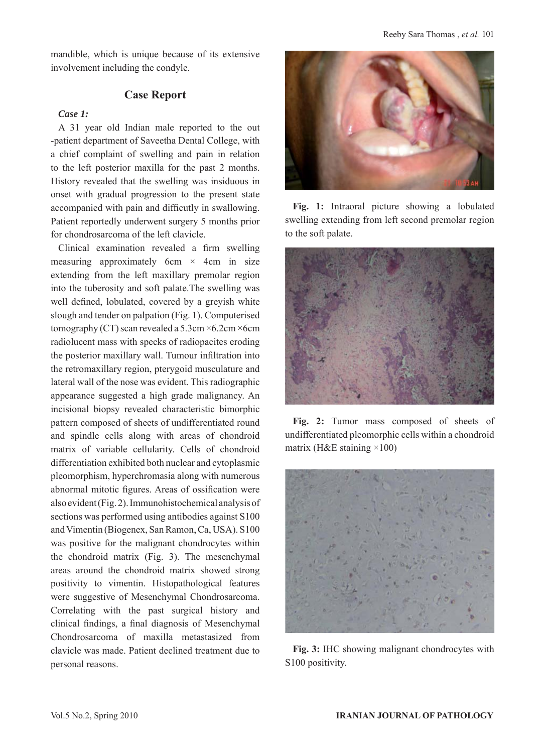mandible, which is unique because of its extensive involvement including the condyle.

# **Case Report**

# *Case 1:*

A 31 year old Indian male reported to the out -patient department of Saveetha Dental College, with a chief complaint of swelling and pain in relation to the left posterior maxilla for the past 2 months. History revealed that the swelling was insiduous in onset with gradual progression to the present state accompanied with pain and difficutly in swallowing. Patient reportedly underwent surgery 5 months prior for chondrosarcoma of the left clavicle.

Clinical examination revealed a firm swelling measuring approximately 6cm  $\times$  4cm in size extending from the left maxillary premolar region into the tuberosity and soft palate.The swelling was well defined, lobulated, covered by a greyish white slough and tender on palpation (Fig. 1). Computerised tomography (CT) scan revealed a  $5.3cm \times 6.2cm \times 6cm$ radiolucent mass with specks of radiopacites eroding the posterior maxillary wall. Tumour infiltration into the retromaxillary region, pterygoid musculature and lateral wall of the nose was evident. This radiographic appearance suggested a high grade malignancy. An incisional biopsy revealed characteristic bimorphic pattern composed of sheets of undifferentiated round and spindle cells along with areas of chondroid matrix of variable cellularity. Cells of chondroid differentiation exhibited both nuclear and cytoplasmic pleomorphism, hyperchromasia along with numerous abnormal mitotic figures. Areas of ossification were also evident (Fig. 2). Immunohistochemical analysis of sections was performed using antibodies against S100 and Vimentin (Biogenex, San Ramon, Ca, USA). S100 was positive for the malignant chondrocytes within the chondroid matrix (Fig. 3). The mesenchymal areas around the chondroid matrix showed strong positivity to vimentin. Histopathological features were suggestive of Mesenchymal Chondrosarcoma. Correlating with the past surgical history and clinical findings, a final diagnosis of Mesenchymal Chondrosarcoma of maxilla metastasized from clavicle was made. Patient declined treatment due to personal reasons.



**Fig. 1:** Intraoral picture showing a lobulated swelling extending from left second premolar region to the soft palate.



**Fig. 2:** Tumor mass composed of sheets of undifferentiated pleomorphic cells within a chondroid matrix (H&E staining  $\times$ 100)



**Fig. 3:** IHC showing malignant chondrocytes with S100 positivity.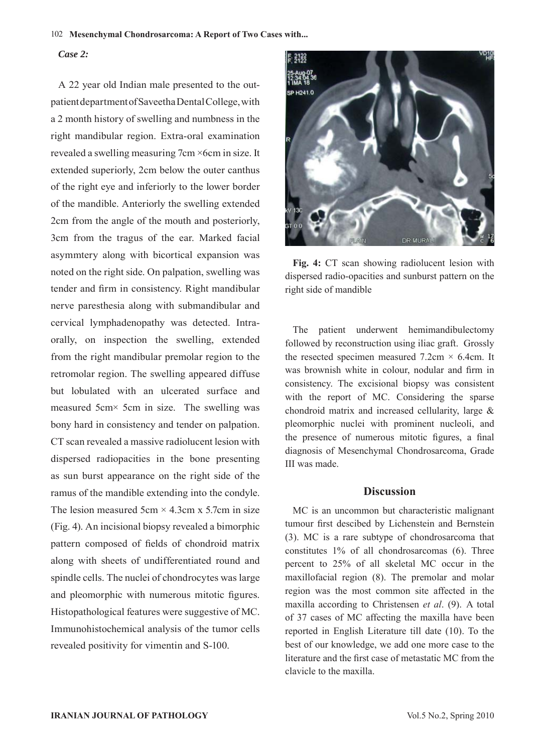#### 102 **Mesenchymal Chondrosarcoma: A Report of Two Cases with...**

# *Case 2:*

A 22 year old Indian male presented to the outpatient department of Saveetha Dental College, with a 2 month history of swelling and numbness in the right mandibular region. Extra-oral examination revealed a swelling measuring 7cm ×6cm in size. It extended superiorly, 2cm below the outer canthus of the right eye and inferiorly to the lower border of the mandible. Anteriorly the swelling extended 2cm from the angle of the mouth and posteriorly, 3cm from the tragus of the ear. Marked facial asymmtery along with bicortical expansion was noted on the right side. On palpation, swelling was tender and firm in consistency. Right mandibular nerve paresthesia along with submandibular and cervical lymphadenopathy was detected. Intraorally, on inspection the swelling, extended from the right mandibular premolar region to the retromolar region. The swelling appeared diffuse but lobulated with an ulcerated surface and measured 5cm× 5cm in size. The swelling was bony hard in consistency and tender on palpation. CT scan revealed a massive radiolucent lesion with dispersed radiopacities in the bone presenting as sun burst appearance on the right side of the ramus of the mandible extending into the condyle. The lesion measured  $5cm \times 4.3cm \times 5.7cm$  in size (Fig. 4). An incisional biopsy revealed a bimorphic pattern composed of fields of chondroid matrix along with sheets of undifferentiated round and spindle cells. The nuclei of chondrocytes was large and pleomorphic with numerous mitotic figures. Histopathological features were suggestive of MC. Immunohistochemical analysis of the tumor cells revealed positivity for vimentin and S-100.



**Fig. 4:** CT scan showing radiolucent lesion with dispersed radio-opacities and sunburst pattern on the right side of mandible

The patient underwent hemimandibulectomy followed by reconstruction using iliac graft. Grossly the resected specimen measured  $7.2 \text{cm} \times 6.4 \text{cm}$ . It was brownish white in colour, nodular and firm in consistency. The excisional biopsy was consistent with the report of MC. Considering the sparse chondroid matrix and increased cellularity, large & pleomorphic nuclei with prominent nucleoli, and the presence of numerous mitotic figures, a final diagnosis of Mesenchymal Chondrosarcoma, Grade III was made.

# **Discussion**

MC is an uncommon but characteristic malignant tumour first descibed by Lichenstein and Bernstein (3). MC is a rare subtype of chondrosarcoma that constitutes 1% of all chondrosarcomas (6). Three percent to 25% of all skeletal MC occur in the maxillofacial region (8). The premolar and molar region was the most common site affected in the maxilla according to Christensen *et al*. (9). A total of 37 cases of MC affecting the maxilla have been reported in English Literature till date (10). To the best of our knowledge, we add one more case to the literature and the first case of metastatic MC from the clavicle to the maxilla.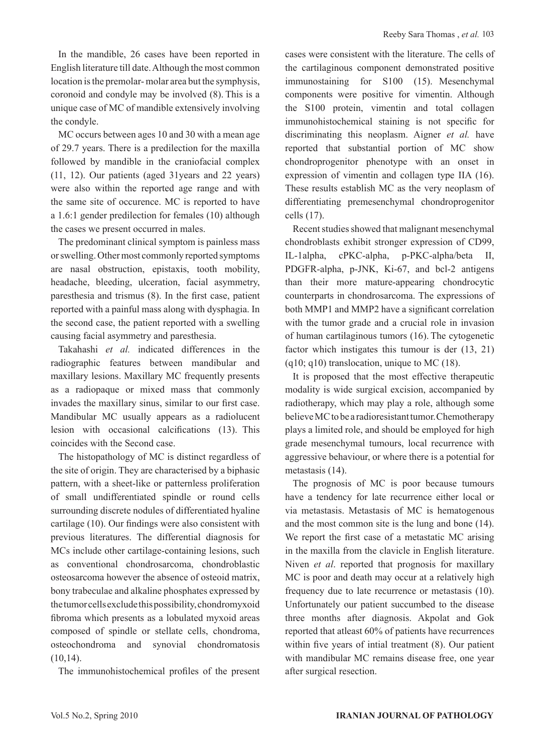In the mandible, 26 cases have been reported in English literature till date. Although the most common location is the premolar- molar area but the symphysis, coronoid and condyle may be involved (8). This is a unique case of MC of mandible extensively involving the condyle.

MC occurs between ages 10 and 30 with a mean age of 29.7 years. There is a predilection for the maxilla followed by mandible in the craniofacial complex (11, 12). Our patients (aged 31years and 22 years) were also within the reported age range and with the same site of occurence. MC is reported to have a 1.6:1 gender predilection for females (10) although the cases we present occurred in males.

The predominant clinical symptom is painless mass or swelling. Other most commonly reported symptoms are nasal obstruction, epistaxis, tooth mobility, headache, bleeding, ulceration, facial asymmetry, paresthesia and trismus (8). In the first case, patient reported with a painful mass along with dysphagia. In the second case, the patient reported with a swelling causing facial asymmetry and paresthesia.

Takahashi *et al.* indicated differences in the radiographic features between mandibular and maxillary lesions. Maxillary MC frequently presents as a radiopaque or mixed mass that commonly invades the maxillary sinus, similar to our first case. Mandibular MC usually appears as a radiolucent lesion with occasional calcifications (13). This coincides with the Second case.

The histopathology of MC is distinct regardless of the site of origin. They are characterised by a biphasic pattern, with a sheet-like or patternless proliferation of small undifferentiated spindle or round cells surrounding discrete nodules of differentiated hyaline cartilage (10). Our findings were also consistent with previous literatures. The differential diagnosis for MCs include other cartilage-containing lesions, such as conventional chondrosarcoma, chondroblastic osteosarcoma however the absence of osteoid matrix, bony trabeculae and alkaline phosphates expressed by the tumor cells exclude this possibility, chondromyxoid fibroma which presents as a lobulated myxoid areas composed of spindle or stellate cells, chondroma, osteochondroma and synovial chondromatosis  $(10,14)$ .

The immunohistochemical profiles of the present

cases were consistent with the literature. The cells of the cartilaginous component demonstrated positive immunostaining for S100 (15). Mesenchymal components were positive for vimentin. Although the S100 protein, vimentin and total collagen immunohistochemical staining is not specific for discriminating this neoplasm. Aigner *et al.* have reported that substantial portion of MC show chondroprogenitor phenotype with an onset in expression of vimentin and collagen type IIA (16). These results establish MC as the very neoplasm of differentiating premesenchymal chondroprogenitor cells (17).

Recent studies showed that malignant mesenchymal chondroblasts exhibit stronger expression of CD99, IL-1alpha, cPKC-alpha, p-PKC-alpha/beta II, PDGFR-alpha, p-JNK, Ki-67, and bcl-2 antigens than their more mature-appearing chondrocytic counterparts in chondrosarcoma. The expressions of both MMP1 and MMP2 have a significant correlation with the tumor grade and a crucial role in invasion of human cartilaginous tumors (16). The cytogenetic factor which instigates this tumour is der (13, 21)  $(q10; q10)$  translocation, unique to MC  $(18)$ .

It is proposed that the most effective therapeutic modality is wide surgical excision, accompanied by radiotherapy, which may play a role, although some believe MC to be a radioresistant tumor.Chemotherapy plays a limited role, and should be employed for high grade mesenchymal tumours, local recurrence with aggressive behaviour, or where there is a potential for metastasis (14).

The prognosis of MC is poor because tumours have a tendency for late recurrence either local or via metastasis. Metastasis of MC is hematogenous and the most common site is the lung and bone (14). We report the first case of a metastatic MC arising in the maxilla from the clavicle in English literature. Niven *et al*. reported that prognosis for maxillary MC is poor and death may occur at a relatively high frequency due to late recurrence or metastasis (10). Unfortunately our patient succumbed to the disease three months after diagnosis. Akpolat and Gok reported that atleast 60% of patients have recurrences within five years of intial treatment (8). Our patient with mandibular MC remains disease free, one year after surgical resection.